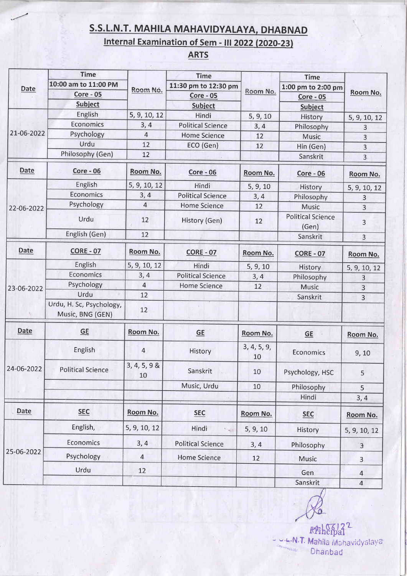## S.S.L.N.T. MAHILA MAHAVIDYALAYA, DHABNAD

## Internal Examination of Sem - III 2022 (2020-23)

## ARTS

| Date             | <b>Time</b>                                  | Room No.                 | <b>Time</b>                                         |                   | <b>Time</b>                                              | Room No.       |
|------------------|----------------------------------------------|--------------------------|-----------------------------------------------------|-------------------|----------------------------------------------------------|----------------|
|                  | 10:00 am to 11:00 PM                         |                          | 11:30 pm to 12:30 pm<br><b>Core - 05</b><br>Subject | Room No.          | 1:00 pm to 2:00 pm<br><b>Core - 05</b><br><b>Subject</b> |                |
|                  | <b>Core - 05</b><br><b>Subject</b>           |                          |                                                     |                   |                                                          |                |
|                  |                                              |                          |                                                     |                   |                                                          |                |
| Economics        | 3, 4                                         | <b>Political Science</b> | 3, 4                                                | Philosophy        | 3                                                        |                |
| Psychology       | $\overline{4}$                               | <b>Home Science</b>      | 12                                                  | <b>Music</b>      | 3                                                        |                |
| Urdu             | 12                                           | ECO (Gen)                | 12                                                  | Hin (Gen)         | $\overline{3}$                                           |                |
| Philosophy (Gen) | 12                                           |                          |                                                     | Sanskrit          | 3 <sup>1</sup>                                           |                |
| Date             | <b>Core - 06</b>                             | Room No.                 | $Core - 06$                                         | Room No.          | $Core-06$                                                | Room No.       |
|                  | English                                      | 5, 9, 10, 12             | Hindi                                               | 5, 9, 10          | History                                                  | 5, 9, 10, 12   |
|                  | Economics                                    | 3, 4                     | <b>Political Science</b>                            | 3, 4              | Philosophy                                               | 3              |
| 22-06-2022       | Psychology                                   | $\overline{4}$           | <b>Home Science</b>                                 | 12                | Music                                                    | 3              |
|                  | Urdu                                         | 12                       | History (Gen)                                       | 12                | <b>Political Science</b><br>(Gen)                        | $\overline{3}$ |
|                  | English (Gen)                                | 12                       |                                                     |                   | Sanskrit                                                 | 3              |
| <b>Date</b>      | <b>CORE - 07</b>                             | Room No.                 | <b>CORE - 07</b>                                    | Room No.          | <b>CORE - 07</b>                                         | Room No.       |
|                  | English                                      | 5, 9, 10, 12             | Hindi                                               | 5, 9, 10          | History                                                  | 5, 9, 10, 12   |
| 23-06-2022       | Economics                                    | 3, 4                     | <b>Political Science</b>                            | 3, 4              | Philosophy                                               | 3              |
|                  | Psychology                                   | 4                        | <b>Home Science</b>                                 | 12                | Music                                                    | 3              |
|                  | Urdu                                         | 12                       |                                                     |                   | Sanskrit                                                 | 3              |
|                  | Urdu, H. Sc, Psychology,<br>Music, BNG (GEN) | 12                       |                                                     |                   |                                                          |                |
| <b>Date</b>      | GE                                           | Room No.                 | GE                                                  | Room No.          | <b>GE</b>                                                | Room No.       |
| 24-06-2022       | English                                      | $\overline{4}$           | History                                             | 3, 4, 5, 9,<br>10 | Economics                                                | 9, 10          |
|                  | <b>Political Science</b>                     | $3, 4, 5, 9$ &<br>10     | Sanskrit                                            | 10                | Psychology, HSC                                          | 5              |
|                  |                                              |                          | Music, Urdu                                         | 10                | Philosophy                                               | 5              |
|                  |                                              |                          |                                                     |                   | Hindi                                                    | 3, 4           |
| Date             | <b>SEC</b>                                   | Room No.                 | <b>SEC</b>                                          | Room No.          | <b>SEC</b>                                               | Room No.       |
| 25-06-2022       | English,                                     | 5, 9, 10, 12             | Hindi<br>$\sim$ $\mu$                               | 5, 9, 10          | History                                                  | 5, 9, 10, 12   |
|                  | Economics                                    | 3, 4                     | <b>Political Science</b>                            | 3, 4              | Philosophy                                               | $\overline{3}$ |
|                  | Psychology                                   | $\overline{4}$           | <b>Home Science</b>                                 | 12                | Music                                                    | 3              |
|                  | Urdu                                         | 12                       |                                                     |                   | Gen                                                      | $\overline{4}$ |
|                  |                                              |                          |                                                     |                   | Sanskrit                                                 | $\overline{4}$ |

 $\mathcal{R}$ 

Rfthcipal<sup>2</sup> U.L.N.T. Mahila Mahavidyslaya